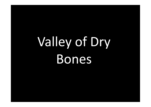## Valley of Dry Bones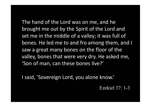The hand of the Lord was on me, and he brought me out by the Spirit of the Lord and set me in the middle of a valley; it was full of The hand of the Lord was on me, and he<br>brought me out by the Spirit of the Lord and<br>set me in the middle of a valley; it was full of<br>bones. He led me to and fro among them, and I<br>saw a great many bones on the floor of the<br> saw a great many bones on the floor of the valley, bones that were very dry. He asked me, 'Son of man, can these bones live?'

I said, 'Sovereign Lord, you alone know.'

Ezekiel 37: 1-3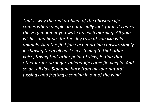That is why the real problem of the Christian life comes where people do not usually look for it. It comes the very moment you wake up each morning. All your wishes and hopes for the day rush at you like wild animals. And the first job each morning consists simply in shoving them all back; in listening to that other voice, taking that other point of view, letting that other larger, stronger, quieter life come flowing in. And so on, all day. Standing back from all your natural the very moment you wake up each morning. All<br>wishes and hopes for the day rush at you like wild<br>animals. And the first job each morning consists s<br>in shoving them all back; in listening to that othe<br>voice, taking that oth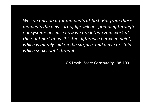We can only do it for moments at first. But from those moments the new sort of life will be spreading through our system: because now we are letting Him work at the right part of us. It is the difference between paint, which is merely laid on the surface, and a dye or stain which soaks right through.

C S Lewis, Mere Christianity 198-199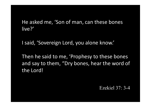He asked me, 'Son of man, can these bones live?'

I said, 'Sovereign Lord, you alone know.'

Then he said to me, 'Prophesy to these bones and say to them, "Dry bones, hear the word of the Lord!

Ezekiel 37: 3-4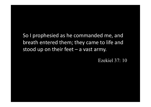So I prophesied as he commanded me, and breath entered them; they came to life and So I prophesied as he commanded me, and<br>breath entered them; they came to life and<br>stood up on their feet – a vast army.<br>Ezekiel 37: 10

Ezekiel 37: 10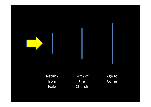

| Return       | Birth of | Age to |
|--------------|----------|--------|
| from         | the      | Come   |
| <b>Exile</b> | Church   |        |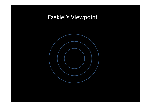## Ezekiel's Viewpoint

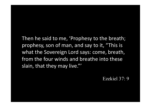Then he said to me, 'Prophesy to the breath; prophesy, son of man, and say to it, "This is what the Sovereign Lord says: come, breath, from the four winds and breathe into these slain, that they may live."'

Ezekiel 37: 9